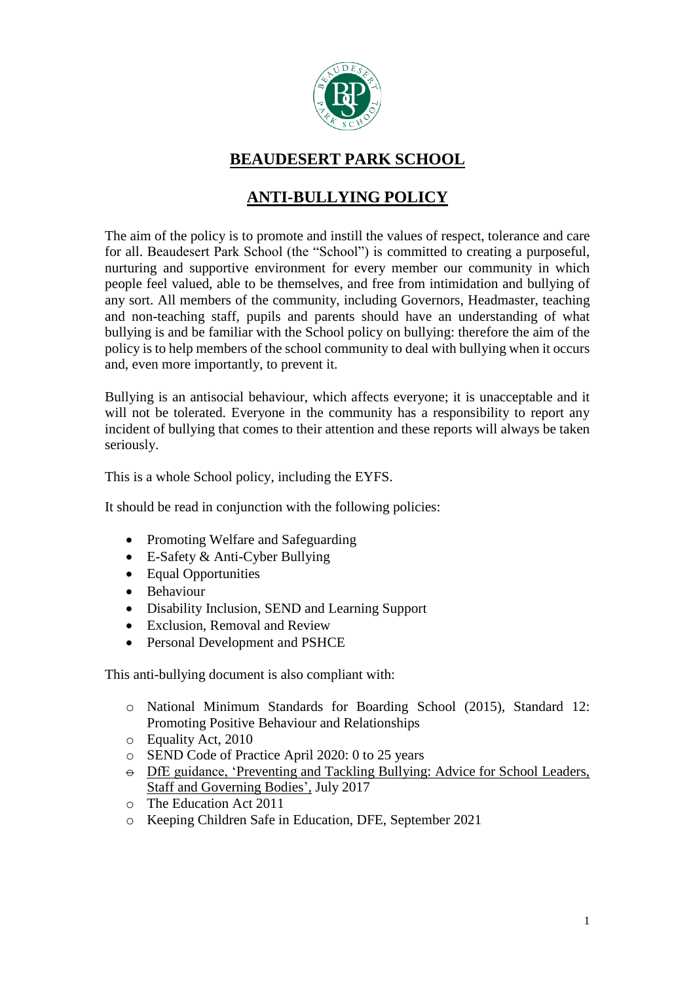

## **BEAUDESERT PARK SCHOOL**

# **ANTI-BULLYING POLICY**

The aim of the policy is to promote and instill the values of respect, tolerance and care for all. Beaudesert Park School (the "School") is committed to creating a purposeful, nurturing and supportive environment for every member our community in which people feel valued, able to be themselves, and free from intimidation and bullying of any sort. All members of the community, including Governors, Headmaster, teaching and non-teaching staff, pupils and parents should have an understanding of what bullying is and be familiar with the School policy on bullying: therefore the aim of the policy is to help members of the school community to deal with bullying when it occurs and, even more importantly, to prevent it.

Bullying is an antisocial behaviour, which affects everyone; it is unacceptable and it will not be tolerated. Everyone in the community has a responsibility to report any incident of bullying that comes to their attention and these reports will always be taken seriously.

This is a whole School policy, including the EYFS.

It should be read in conjunction with the following policies:

- Promoting Welfare and Safeguarding
- E-Safety & Anti-Cyber Bullying
- Equal Opportunities
- Behaviour
- Disability Inclusion, SEND and Learning Support
- Exclusion, Removal and Review
- Personal Development and PSHCE

This anti-bullying document is also compliant with:

- o National Minimum Standards for Boarding School (2015), Standard 12: Promoting Positive Behaviour and Relationships
- o Equality Act, 2010
- o SEND Code of Practice April 2020: 0 to 25 years
- $\Theta$  DfE guidance, 'Preventing and Tackling Bullying: Advice for School Leaders, Staff and Governing Bodies', July 2017
- o The Education Act 2011
- o Keeping Children Safe in Education, DFE, September 2021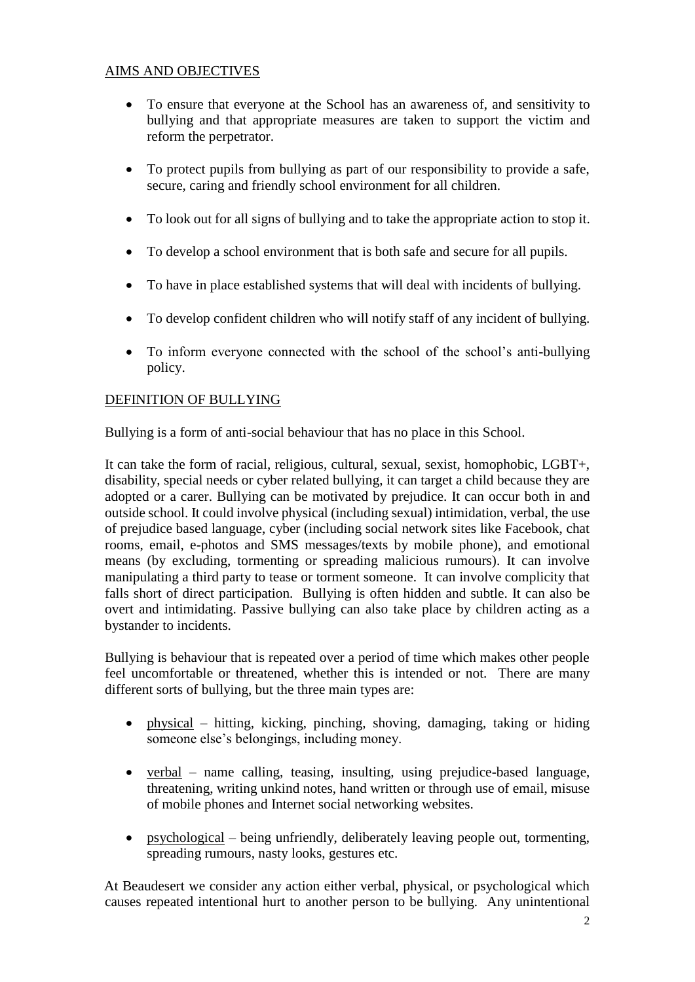## AIMS AND OBJECTIVES

- To ensure that everyone at the School has an awareness of, and sensitivity to bullying and that appropriate measures are taken to support the victim and reform the perpetrator.
- To protect pupils from bullying as part of our responsibility to provide a safe, secure, caring and friendly school environment for all children.
- To look out for all signs of bullying and to take the appropriate action to stop it.
- To develop a school environment that is both safe and secure for all pupils.
- To have in place established systems that will deal with incidents of bullying.
- To develop confident children who will notify staff of any incident of bullying.
- To inform everyone connected with the school of the school's anti-bullying policy.

## DEFINITION OF BULLYING

Bullying is a form of anti-social behaviour that has no place in this School.

It can take the form of racial, religious, cultural, sexual, sexist, homophobic, LGBT+, disability, special needs or cyber related bullying, it can target a child because they are adopted or a carer. Bullying can be motivated by prejudice. It can occur both in and outside school. It could involve physical (including sexual) intimidation, verbal, the use of prejudice based language, cyber (including social network sites like Facebook, chat rooms, email, e-photos and SMS messages/texts by mobile phone), and emotional means (by excluding, tormenting or spreading malicious rumours). It can involve manipulating a third party to tease or torment someone. It can involve complicity that falls short of direct participation. Bullying is often hidden and subtle. It can also be overt and intimidating. Passive bullying can also take place by children acting as a bystander to incidents.

Bullying is behaviour that is repeated over a period of time which makes other people feel uncomfortable or threatened, whether this is intended or not. There are many different sorts of bullying, but the three main types are:

- $\bullet$  physical hitting, kicking, pinching, shoving, damaging, taking or hiding someone else's belongings, including money.
- verbal name calling, teasing, insulting, using prejudice-based language, threatening, writing unkind notes, hand written or through use of email, misuse of mobile phones and Internet social networking websites.
- psychological being unfriendly, deliberately leaving people out, tormenting, spreading rumours, nasty looks, gestures etc.

At Beaudesert we consider any action either verbal, physical, or psychological which causes repeated intentional hurt to another person to be bullying. Any unintentional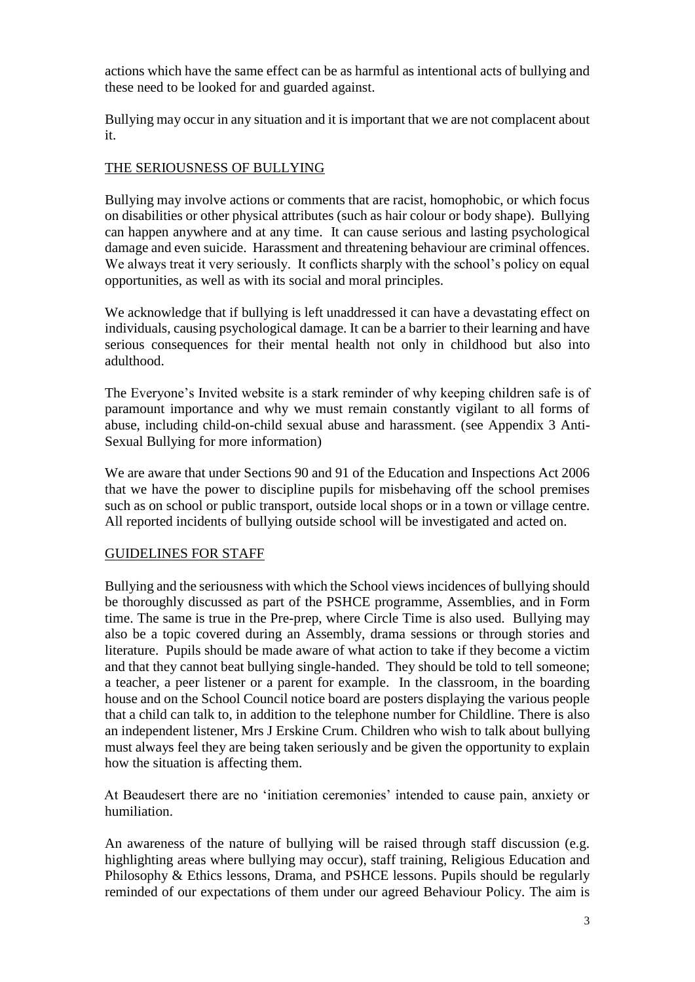actions which have the same effect can be as harmful as intentional acts of bullying and these need to be looked for and guarded against.

Bullying may occur in any situation and it is important that we are not complacent about it.

## THE SERIOUSNESS OF BULLYING

Bullying may involve actions or comments that are racist, homophobic, or which focus on disabilities or other physical attributes (such as hair colour or body shape). Bullying can happen anywhere and at any time. It can cause serious and lasting psychological damage and even suicide. Harassment and threatening behaviour are criminal offences. We always treat it very seriously. It conflicts sharply with the school's policy on equal opportunities, as well as with its social and moral principles.

We acknowledge that if bullying is left unaddressed it can have a devastating effect on individuals, causing psychological damage. It can be a barrier to their learning and have serious consequences for their mental health not only in childhood but also into adulthood.

The Everyone's Invited website is a stark reminder of why keeping children safe is of paramount importance and why we must remain constantly vigilant to all forms of abuse, including child-on-child sexual abuse and harassment. (see Appendix 3 Anti-Sexual Bullying for more information)

We are aware that under Sections 90 and 91 of the Education and Inspections Act 2006 that we have the power to discipline pupils for misbehaving off the school premises such as on school or public transport, outside local shops or in a town or village centre. All reported incidents of bullying outside school will be investigated and acted on.

## GUIDELINES FOR STAFF

Bullying and the seriousness with which the School views incidences of bullying should be thoroughly discussed as part of the PSHCE programme, Assemblies, and in Form time. The same is true in the Pre-prep, where Circle Time is also used. Bullying may also be a topic covered during an Assembly, drama sessions or through stories and literature. Pupils should be made aware of what action to take if they become a victim and that they cannot beat bullying single-handed. They should be told to tell someone; a teacher, a peer listener or a parent for example. In the classroom, in the boarding house and on the School Council notice board are posters displaying the various people that a child can talk to, in addition to the telephone number for Childline. There is also an independent listener, Mrs J Erskine Crum. Children who wish to talk about bullying must always feel they are being taken seriously and be given the opportunity to explain how the situation is affecting them.

At Beaudesert there are no 'initiation ceremonies' intended to cause pain, anxiety or humiliation.

An awareness of the nature of bullying will be raised through staff discussion (e.g. highlighting areas where bullying may occur), staff training, Religious Education and Philosophy & Ethics lessons, Drama, and PSHCE lessons. Pupils should be regularly reminded of our expectations of them under our agreed Behaviour Policy. The aim is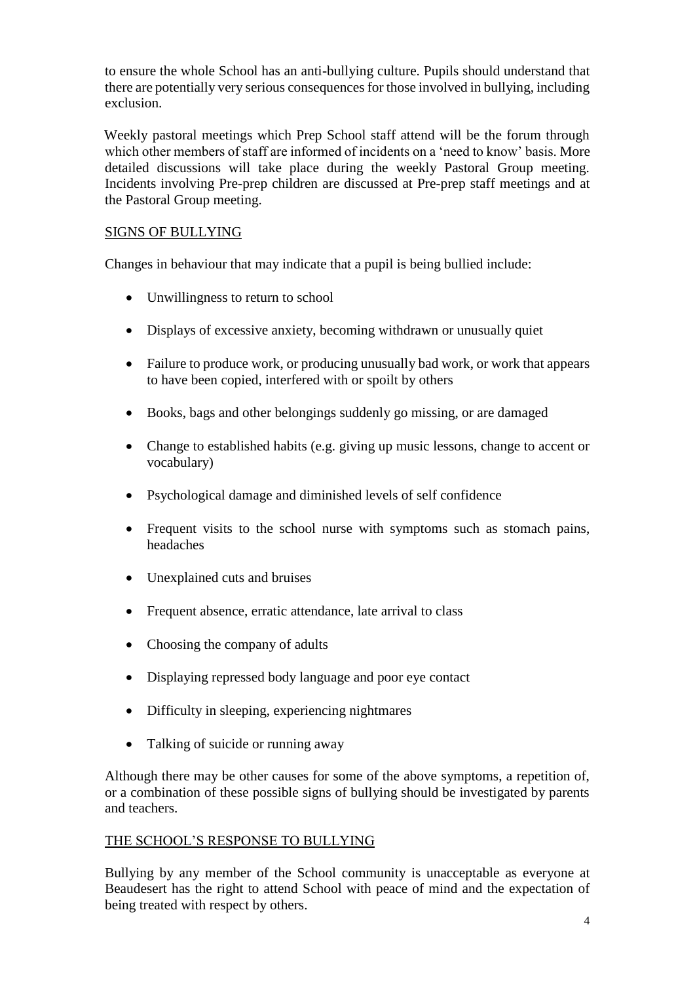to ensure the whole School has an anti-bullying culture. Pupils should understand that there are potentially very serious consequences for those involved in bullying, including exclusion.

Weekly pastoral meetings which Prep School staff attend will be the forum through which other members of staff are informed of incidents on a 'need to know' basis. More detailed discussions will take place during the weekly Pastoral Group meeting. Incidents involving Pre-prep children are discussed at Pre-prep staff meetings and at the Pastoral Group meeting.

## SIGNS OF BULLYING

Changes in behaviour that may indicate that a pupil is being bullied include:

- Unwillingness to return to school
- Displays of excessive anxiety, becoming withdrawn or unusually quiet
- Failure to produce work, or producing unusually bad work, or work that appears to have been copied, interfered with or spoilt by others
- Books, bags and other belongings suddenly go missing, or are damaged
- Change to established habits (e.g. giving up music lessons, change to accent or vocabulary)
- Psychological damage and diminished levels of self confidence
- Frequent visits to the school nurse with symptoms such as stomach pains, headaches
- Unexplained cuts and bruises
- Frequent absence, erratic attendance, late arrival to class
- Choosing the company of adults
- Displaying repressed body language and poor eye contact
- Difficulty in sleeping, experiencing nightmares
- Talking of suicide or running away

Although there may be other causes for some of the above symptoms, a repetition of, or a combination of these possible signs of bullying should be investigated by parents and teachers.

#### THE SCHOOL'S RESPONSE TO BULLYING

Bullying by any member of the School community is unacceptable as everyone at Beaudesert has the right to attend School with peace of mind and the expectation of being treated with respect by others.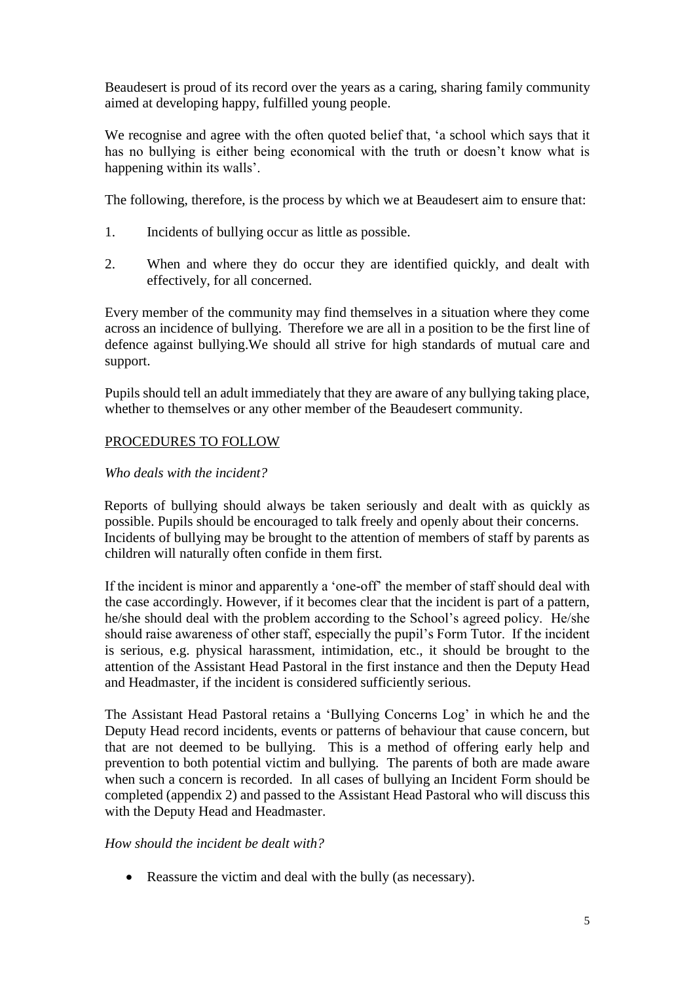Beaudesert is proud of its record over the years as a caring, sharing family community aimed at developing happy, fulfilled young people.

We recognise and agree with the often quoted belief that, 'a school which says that it has no bullying is either being economical with the truth or doesn't know what is happening within its walls'.

The following, therefore, is the process by which we at Beaudesert aim to ensure that:

- 1. Incidents of bullying occur as little as possible.
- 2. When and where they do occur they are identified quickly, and dealt with effectively, for all concerned.

Every member of the community may find themselves in a situation where they come across an incidence of bullying. Therefore we are all in a position to be the first line of defence against bullying.We should all strive for high standards of mutual care and support.

Pupils should tell an adult immediately that they are aware of any bullying taking place, whether to themselves or any other member of the Beaudesert community.

## PROCEDURES TO FOLLOW

## *Who deals with the incident?*

Reports of bullying should always be taken seriously and dealt with as quickly as possible. Pupils should be encouraged to talk freely and openly about their concerns. Incidents of bullying may be brought to the attention of members of staff by parents as children will naturally often confide in them first.

If the incident is minor and apparently a 'one-off' the member of staff should deal with the case accordingly. However, if it becomes clear that the incident is part of a pattern, he/she should deal with the problem according to the School's agreed policy. He/she should raise awareness of other staff, especially the pupil's Form Tutor. If the incident is serious, e.g. physical harassment, intimidation, etc., it should be brought to the attention of the Assistant Head Pastoral in the first instance and then the Deputy Head and Headmaster, if the incident is considered sufficiently serious.

The Assistant Head Pastoral retains a 'Bullying Concerns Log' in which he and the Deputy Head record incidents, events or patterns of behaviour that cause concern, but that are not deemed to be bullying. This is a method of offering early help and prevention to both potential victim and bullying. The parents of both are made aware when such a concern is recorded. In all cases of bullying an Incident Form should be completed (appendix 2) and passed to the Assistant Head Pastoral who will discuss this with the Deputy Head and Headmaster.

#### *How should the incident be dealt with?*

• Reassure the victim and deal with the bully (as necessary).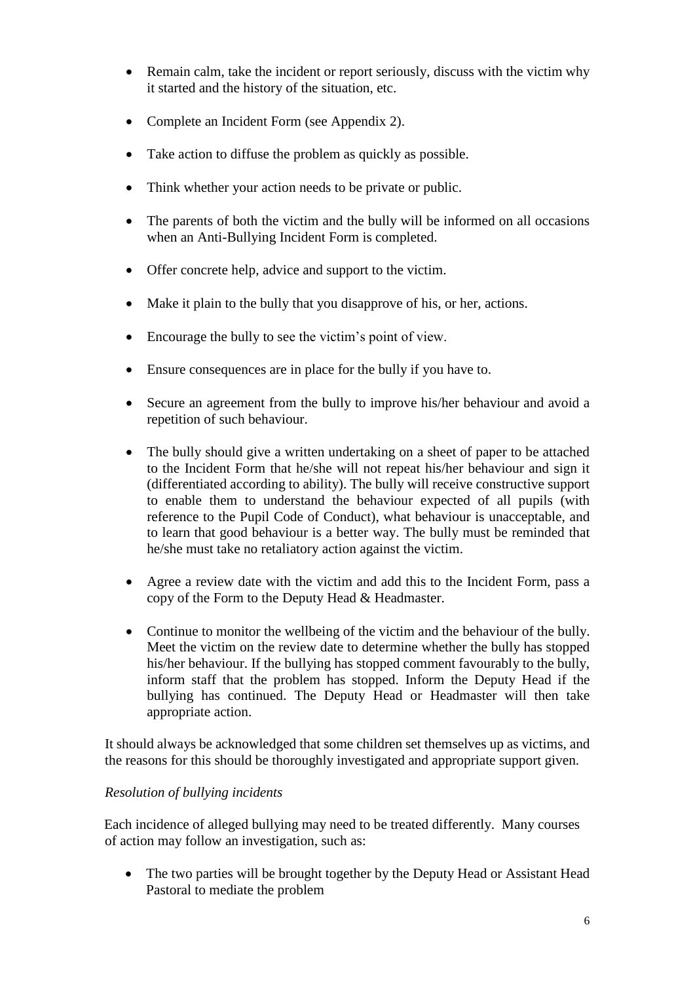- Remain calm, take the incident or report seriously, discuss with the victim why it started and the history of the situation, etc.
- Complete an Incident Form (see Appendix 2).
- Take action to diffuse the problem as quickly as possible.
- Think whether your action needs to be private or public.
- The parents of both the victim and the bully will be informed on all occasions when an Anti-Bullying Incident Form is completed.
- Offer concrete help, advice and support to the victim.
- Make it plain to the bully that you disapprove of his, or her, actions.
- Encourage the bully to see the victim's point of view.
- Ensure consequences are in place for the bully if you have to.
- Secure an agreement from the bully to improve his/her behaviour and avoid a repetition of such behaviour.
- The bully should give a written undertaking on a sheet of paper to be attached to the Incident Form that he/she will not repeat his/her behaviour and sign it (differentiated according to ability). The bully will receive constructive support to enable them to understand the behaviour expected of all pupils (with reference to the Pupil Code of Conduct), what behaviour is unacceptable, and to learn that good behaviour is a better way. The bully must be reminded that he/she must take no retaliatory action against the victim.
- Agree a review date with the victim and add this to the Incident Form, pass a copy of the Form to the Deputy Head & Headmaster.
- Continue to monitor the wellbeing of the victim and the behaviour of the bully. Meet the victim on the review date to determine whether the bully has stopped his/her behaviour. If the bullying has stopped comment favourably to the bully, inform staff that the problem has stopped. Inform the Deputy Head if the bullying has continued. The Deputy Head or Headmaster will then take appropriate action.

It should always be acknowledged that some children set themselves up as victims, and the reasons for this should be thoroughly investigated and appropriate support given.

## *Resolution of bullying incidents*

Each incidence of alleged bullying may need to be treated differently. Many courses of action may follow an investigation, such as:

• The two parties will be brought together by the Deputy Head or Assistant Head Pastoral to mediate the problem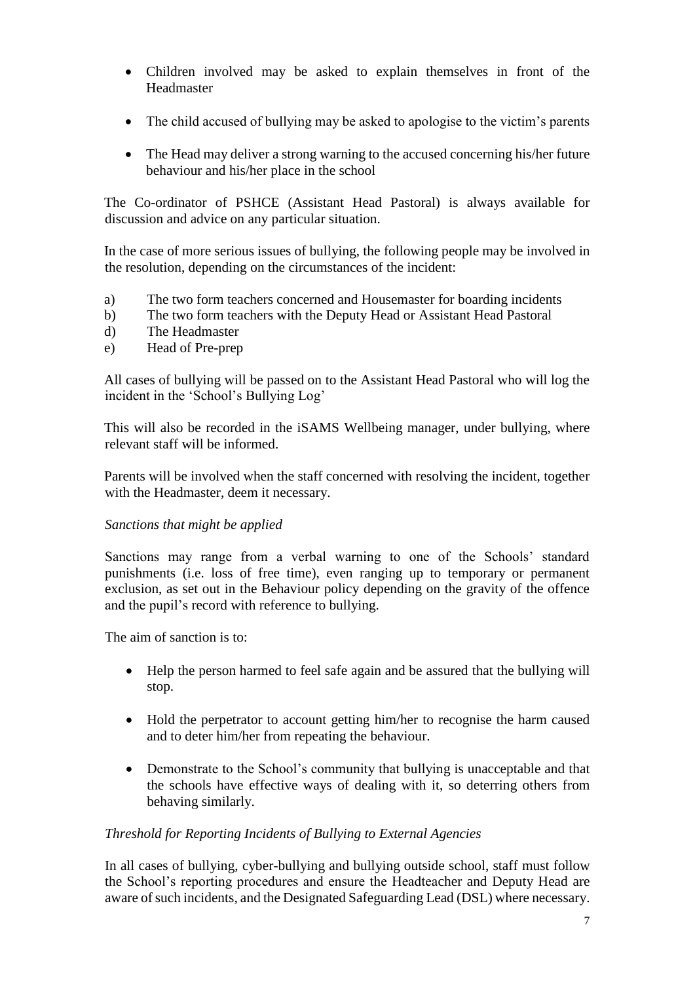- Children involved may be asked to explain themselves in front of the Headmaster
- The child accused of bullying may be asked to apologise to the victim's parents
- The Head may deliver a strong warning to the accused concerning his/her future behaviour and his/her place in the school

The Co-ordinator of PSHCE (Assistant Head Pastoral) is always available for discussion and advice on any particular situation.

In the case of more serious issues of bullying, the following people may be involved in the resolution, depending on the circumstances of the incident:

- a) The two form teachers concerned and Housemaster for boarding incidents
- b) The two form teachers with the Deputy Head or Assistant Head Pastoral
- d) The Headmaster
- e) Head of Pre-prep

All cases of bullying will be passed on to the Assistant Head Pastoral who will log the incident in the 'School's Bullying Log'

This will also be recorded in the iSAMS Wellbeing manager, under bullying, where relevant staff will be informed.

Parents will be involved when the staff concerned with resolving the incident, together with the Headmaster, deem it necessary.

#### *Sanctions that might be applied*

Sanctions may range from a verbal warning to one of the Schools' standard punishments (i.e. loss of free time), even ranging up to temporary or permanent exclusion, as set out in the Behaviour policy depending on the gravity of the offence and the pupil's record with reference to bullying.

The aim of sanction is to:

- Help the person harmed to feel safe again and be assured that the bullying will stop.
- Hold the perpetrator to account getting him/her to recognise the harm caused and to deter him/her from repeating the behaviour.
- Demonstrate to the School's community that bullying is unacceptable and that the schools have effective ways of dealing with it, so deterring others from behaving similarly.

#### *Threshold for Reporting Incidents of Bullying to External Agencies*

In all cases of bullying, cyber-bullying and bullying outside school, staff must follow the School's reporting procedures and ensure the Headteacher and Deputy Head are aware of such incidents, and the Designated Safeguarding Lead (DSL) where necessary.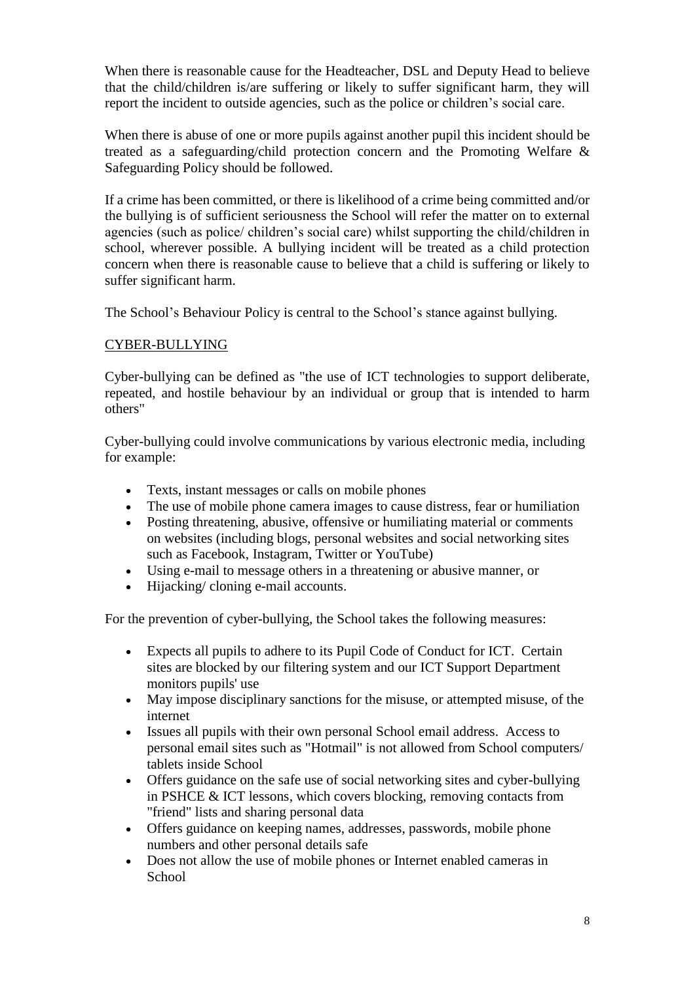When there is reasonable cause for the Headteacher, DSL and Deputy Head to believe that the child/children is/are suffering or likely to suffer significant harm, they will report the incident to outside agencies, such as the police or children's social care.

When there is abuse of one or more pupils against another pupil this incident should be treated as a safeguarding/child protection concern and the Promoting Welfare & Safeguarding Policy should be followed.

If a crime has been committed, or there is likelihood of a crime being committed and/or the bullying is of sufficient seriousness the School will refer the matter on to external agencies (such as police/ children's social care) whilst supporting the child/children in school, wherever possible. A bullying incident will be treated as a child protection concern when there is reasonable cause to believe that a child is suffering or likely to suffer significant harm.

The School's Behaviour Policy is central to the School's stance against bullying.

## CYBER-BULLYING

Cyber-bullying can be defined as "the use of ICT technologies to support deliberate, repeated, and hostile behaviour by an individual or group that is intended to harm others"

Cyber-bullying could involve communications by various electronic media, including for example:

- Texts, instant messages or calls on mobile phones
- The use of mobile phone camera images to cause distress, fear or humiliation
- Posting threatening, abusive, offensive or humiliating material or comments on websites (including blogs, personal websites and social networking sites such as Facebook, Instagram, Twitter or YouTube)
- Using e-mail to message others in a threatening or abusive manner, or
- Hijacking/ cloning e-mail accounts.

For the prevention of cyber-bullying, the School takes the following measures:

- Expects all pupils to adhere to its Pupil Code of Conduct for ICT. Certain sites are blocked by our filtering system and our ICT Support Department monitors pupils' use
- May impose disciplinary sanctions for the misuse, or attempted misuse, of the internet
- Issues all pupils with their own personal School email address. Access to personal email sites such as "Hotmail" is not allowed from School computers/ tablets inside School
- Offers guidance on the safe use of social networking sites and cyber-bullying in PSHCE & ICT lessons, which covers blocking, removing contacts from "friend" lists and sharing personal data
- Offers guidance on keeping names, addresses, passwords, mobile phone numbers and other personal details safe
- Does not allow the use of mobile phones or Internet enabled cameras in **School**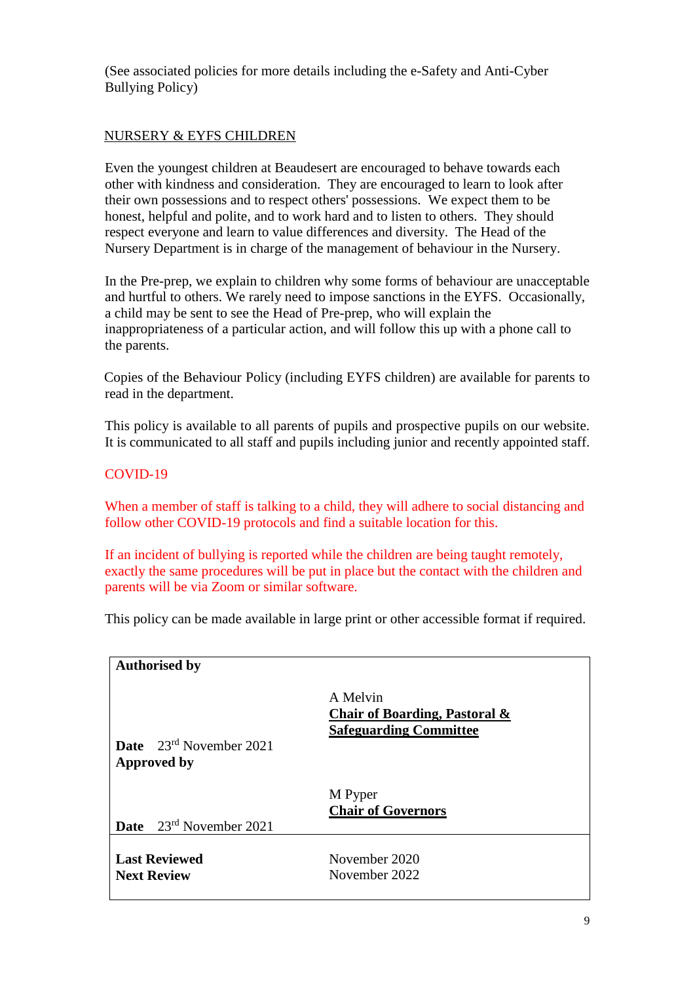(See associated policies for more details including the e-Safety and Anti-Cyber Bullying Policy)

## NURSERY & EYFS CHILDREN

Even the youngest children at Beaudesert are encouraged to behave towards each other with kindness and consideration. They are encouraged to learn to look after their own possessions and to respect others' possessions. We expect them to be honest, helpful and polite, and to work hard and to listen to others. They should respect everyone and learn to value differences and diversity. The Head of the Nursery Department is in charge of the management of behaviour in the Nursery.

In the Pre-prep, we explain to children why some forms of behaviour are unacceptable and hurtful to others. We rarely need to impose sanctions in the EYFS. Occasionally, a child may be sent to see the Head of Pre-prep, who will explain the inappropriateness of a particular action, and will follow this up with a phone call to the parents.

Copies of the Behaviour Policy (including EYFS children) are available for parents to read in the department.

This policy is available to all parents of pupils and prospective pupils on our website. It is communicated to all staff and pupils including junior and recently appointed staff.

## COVID-19

When a member of staff is talking to a child, they will adhere to social distancing and follow other COVID-19 protocols and find a suitable location for this.

If an incident of bullying is reported while the children are being taught remotely, exactly the same procedures will be put in place but the contact with the children and parents will be via Zoom or similar software.

This policy can be made available in large print or other accessible format if required.

| <b>Authorised by</b>                                      |                                                                            |
|-----------------------------------------------------------|----------------------------------------------------------------------------|
| <b>Date</b> $23^{rd}$ November 2021<br><b>Approved by</b> | A Melvin<br>Chair of Boarding, Pastoral &<br><b>Safeguarding Committee</b> |
| <b>Date</b> $23^{rd}$ November 2021                       | M Pyper<br><b>Chair of Governors</b>                                       |
|                                                           |                                                                            |
| <b>Last Reviewed</b><br><b>Next Review</b>                | November 2020<br>November 2022                                             |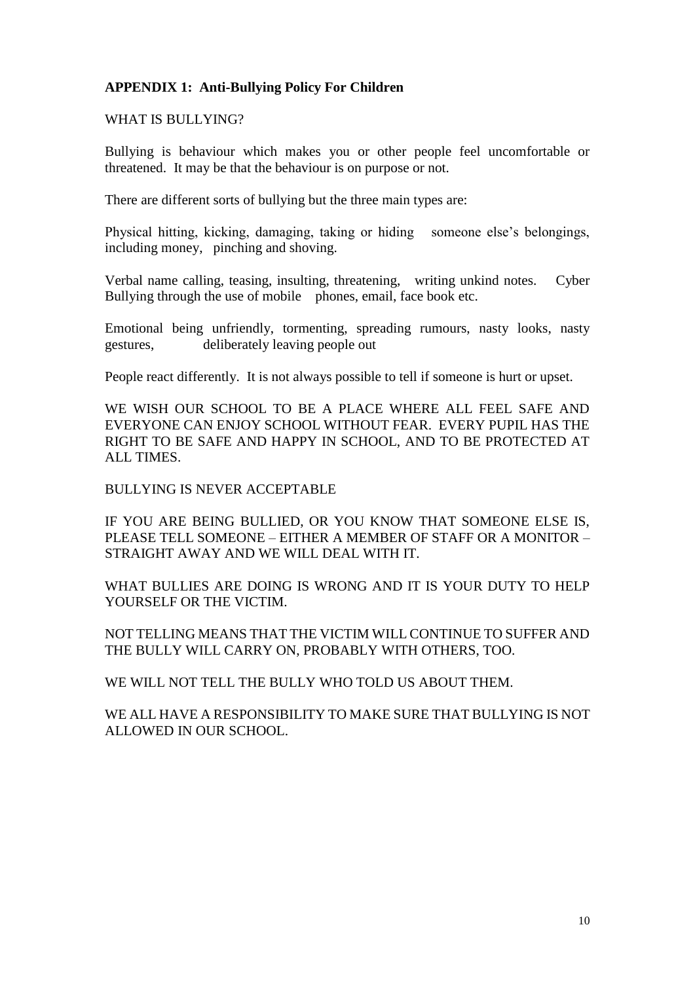## **APPENDIX 1: Anti-Bullying Policy For Children**

WHAT IS BULLYING?

Bullying is behaviour which makes you or other people feel uncomfortable or threatened. It may be that the behaviour is on purpose or not.

There are different sorts of bullying but the three main types are:

Physical hitting, kicking, damaging, taking or hiding someone else's belongings, including money, pinching and shoving.

Verbal name calling, teasing, insulting, threatening, writing unkind notes. Cyber Bullying through the use of mobile phones, email, face book etc.

Emotional being unfriendly, tormenting, spreading rumours, nasty looks, nasty gestures, deliberately leaving people out

People react differently. It is not always possible to tell if someone is hurt or upset.

WE WISH OUR SCHOOL TO BE A PLACE WHERE ALL FEEL SAFE AND EVERYONE CAN ENJOY SCHOOL WITHOUT FEAR. EVERY PUPIL HAS THE RIGHT TO BE SAFE AND HAPPY IN SCHOOL, AND TO BE PROTECTED AT ALL TIMES.

BULLYING IS NEVER ACCEPTABLE

IF YOU ARE BEING BULLIED, OR YOU KNOW THAT SOMEONE ELSE IS, PLEASE TELL SOMEONE – EITHER A MEMBER OF STAFF OR A MONITOR – STRAIGHT AWAY AND WE WILL DEAL WITH IT.

WHAT BULLIES ARE DOING IS WRONG AND IT IS YOUR DUTY TO HELP YOURSELF OR THE VICTIM.

NOT TELLING MEANS THAT THE VICTIM WILL CONTINUE TO SUFFER AND THE BULLY WILL CARRY ON, PROBABLY WITH OTHERS, TOO.

WE WILL NOT TELL THE BULLY WHO TOLD US ABOUT THEM.

WE ALL HAVE A RESPONSIBILITY TO MAKE SURE THAT BULLYING IS NOT ALLOWED IN OUR SCHOOL.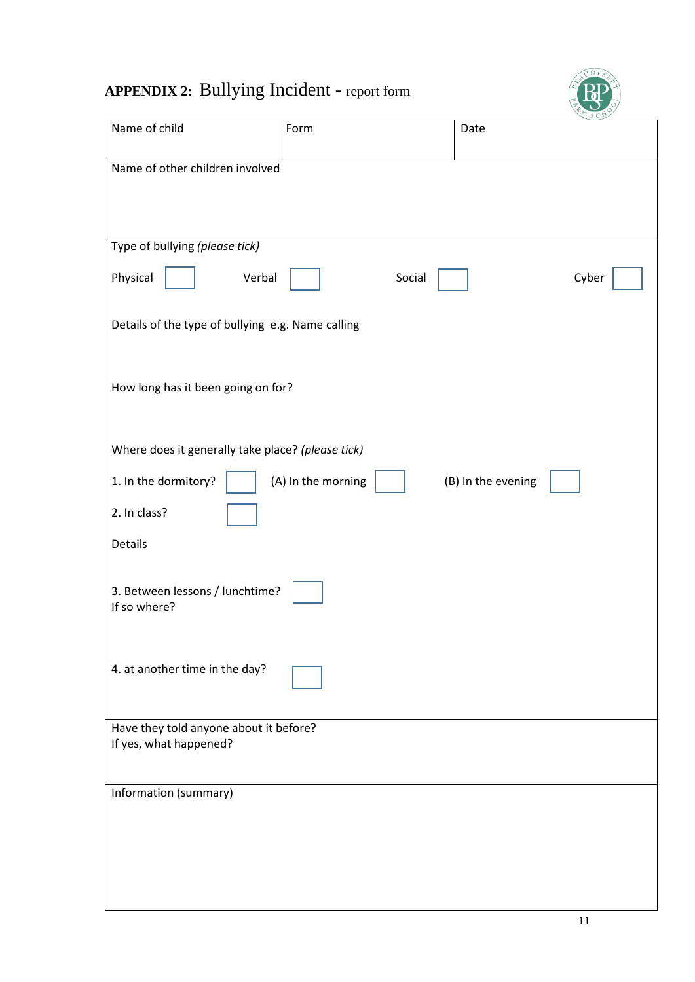# **APPENDIX 2:** Bullying Incident - report form



| Name of child                                     | Form               | Date               |       |  |
|---------------------------------------------------|--------------------|--------------------|-------|--|
| Name of other children involved                   |                    |                    |       |  |
|                                                   |                    |                    |       |  |
|                                                   |                    |                    |       |  |
|                                                   |                    |                    |       |  |
|                                                   |                    |                    |       |  |
| Type of bullying (please tick)                    |                    |                    |       |  |
|                                                   |                    |                    |       |  |
| Physical<br>Verbal                                | Social             |                    | Cyber |  |
|                                                   |                    |                    |       |  |
| Details of the type of bullying e.g. Name calling |                    |                    |       |  |
|                                                   |                    |                    |       |  |
|                                                   |                    |                    |       |  |
|                                                   |                    |                    |       |  |
| How long has it been going on for?                |                    |                    |       |  |
|                                                   |                    |                    |       |  |
|                                                   |                    |                    |       |  |
|                                                   |                    |                    |       |  |
| Where does it generally take place? (please tick) |                    |                    |       |  |
| 1. In the dormitory?                              | (A) In the morning | (B) In the evening |       |  |
|                                                   |                    |                    |       |  |
| 2. In class?                                      |                    |                    |       |  |
|                                                   |                    |                    |       |  |
| Details                                           |                    |                    |       |  |
|                                                   |                    |                    |       |  |
|                                                   |                    |                    |       |  |
| 3. Between lessons / lunchtime?                   |                    |                    |       |  |
| If so where?                                      |                    |                    |       |  |
|                                                   |                    |                    |       |  |
|                                                   |                    |                    |       |  |
| 4. at another time in the day?                    |                    |                    |       |  |
|                                                   |                    |                    |       |  |
|                                                   |                    |                    |       |  |
|                                                   |                    |                    |       |  |
| Have they told anyone about it before?            |                    |                    |       |  |
| If yes, what happened?                            |                    |                    |       |  |
|                                                   |                    |                    |       |  |
| Information (summary)                             |                    |                    |       |  |
|                                                   |                    |                    |       |  |
|                                                   |                    |                    |       |  |
|                                                   |                    |                    |       |  |
|                                                   |                    |                    |       |  |
|                                                   |                    |                    |       |  |
|                                                   |                    |                    |       |  |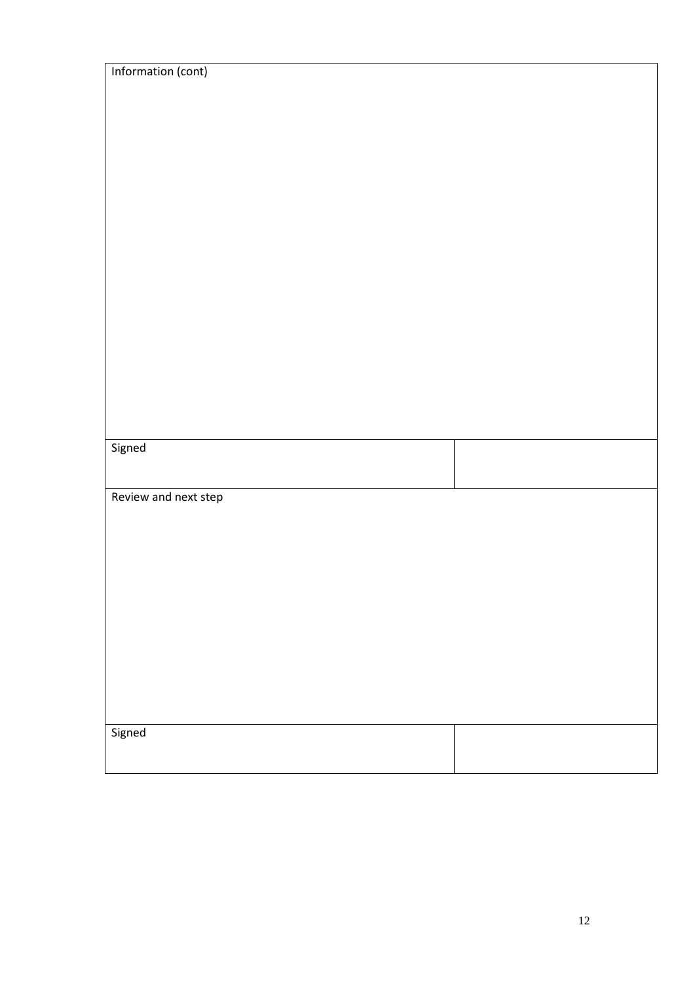| Information (cont)   |  |
|----------------------|--|
|                      |  |
|                      |  |
|                      |  |
|                      |  |
|                      |  |
|                      |  |
|                      |  |
|                      |  |
|                      |  |
|                      |  |
|                      |  |
|                      |  |
|                      |  |
|                      |  |
|                      |  |
|                      |  |
| Signed               |  |
|                      |  |
| Review and next step |  |
|                      |  |
|                      |  |
|                      |  |
|                      |  |
|                      |  |
|                      |  |
|                      |  |
|                      |  |
|                      |  |
|                      |  |
| Signed               |  |
|                      |  |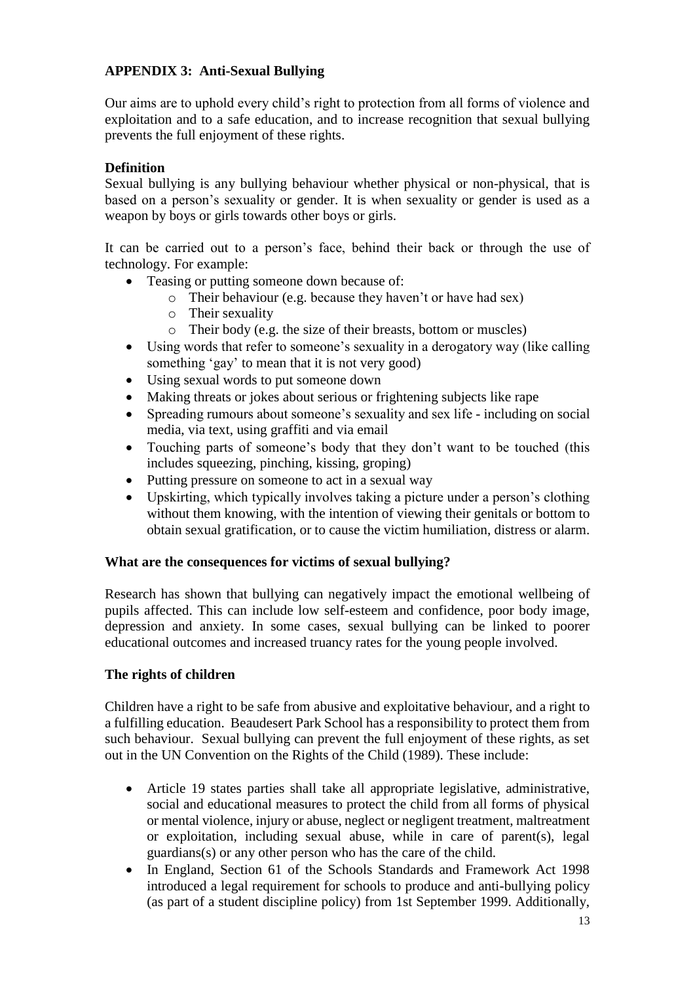## **APPENDIX 3: Anti-Sexual Bullying**

Our aims are to uphold every child's right to protection from all forms of violence and exploitation and to a safe education, and to increase recognition that sexual bullying prevents the full enjoyment of these rights.

## **Definition**

Sexual bullying is any bullying behaviour whether physical or non-physical, that is based on a person's sexuality or gender. It is when sexuality or gender is used as a weapon by boys or girls towards other boys or girls.

It can be carried out to a person's face, behind their back or through the use of technology. For example:

- Teasing or putting someone down because of:
	- o Their behaviour (e.g. because they haven't or have had sex)
	- o Their sexuality
	- o Their body (e.g. the size of their breasts, bottom or muscles)
- Using words that refer to someone's sexuality in a derogatory way (like calling something 'gay' to mean that it is not very good)
- Using sexual words to put someone down
- Making threats or jokes about serious or frightening subjects like rape
- Spreading rumours about someone's sexuality and sex life including on social media, via text, using graffiti and via email
- Touching parts of someone's body that they don't want to be touched (this includes squeezing, pinching, kissing, groping)
- Putting pressure on someone to act in a sexual way
- Upskirting, which typically involves taking a picture under a person's clothing without them knowing, with the intention of viewing their genitals or bottom to obtain sexual gratification, or to cause the victim humiliation, distress or alarm.

#### **What are the consequences for victims of sexual bullying?**

Research has shown that bullying can negatively impact the emotional wellbeing of pupils affected. This can include low self-esteem and confidence, poor body image, depression and anxiety. In some cases, sexual bullying can be linked to poorer educational outcomes and increased truancy rates for the young people involved.

## **The rights of children**

Children have a right to be safe from abusive and exploitative behaviour, and a right to a fulfilling education. Beaudesert Park School has a responsibility to protect them from such behaviour. Sexual bullying can prevent the full enjoyment of these rights, as set out in the UN Convention on the Rights of the Child (1989). These include:

- Article 19 states parties shall take all appropriate legislative, administrative, social and educational measures to protect the child from all forms of physical or mental violence, injury or abuse, neglect or negligent treatment, maltreatment or exploitation, including sexual abuse, while in care of parent(s), legal guardians(s) or any other person who has the care of the child.
- In England, Section 61 of the Schools Standards and Framework Act 1998 introduced a legal requirement for schools to produce and anti-bullying policy (as part of a student discipline policy) from 1st September 1999. Additionally,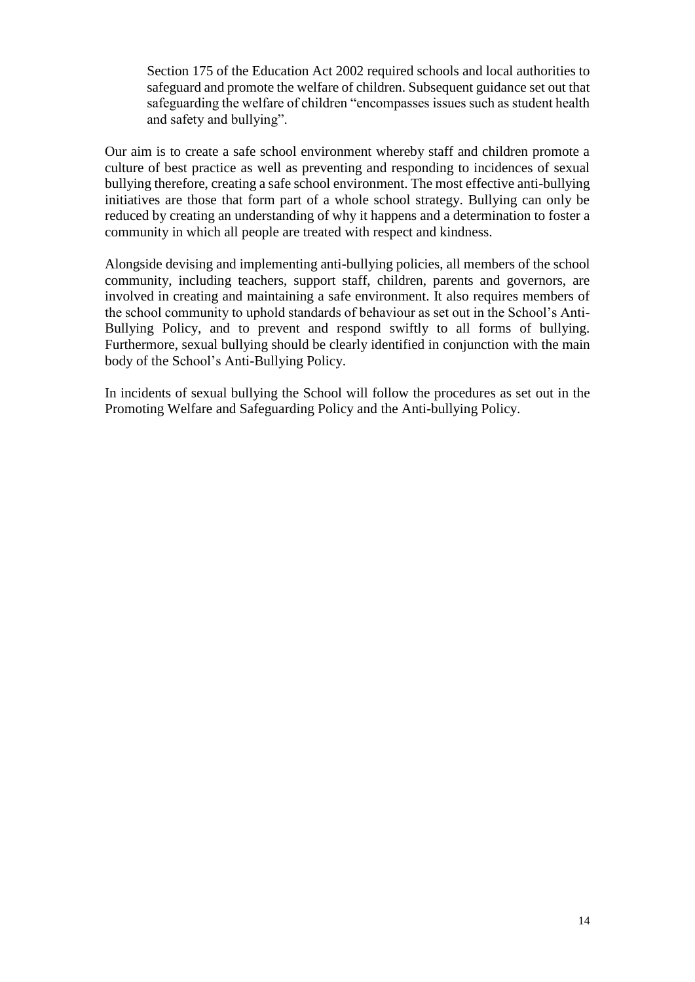Section 175 of the Education Act 2002 required schools and local authorities to safeguard and promote the welfare of children. Subsequent guidance set out that safeguarding the welfare of children "encompasses issues such as student health and safety and bullying".

Our aim is to create a safe school environment whereby staff and children promote a culture of best practice as well as preventing and responding to incidences of sexual bullying therefore, creating a safe school environment. The most effective anti-bullying initiatives are those that form part of a whole school strategy. Bullying can only be reduced by creating an understanding of why it happens and a determination to foster a community in which all people are treated with respect and kindness.

Alongside devising and implementing anti-bullying policies, all members of the school community, including teachers, support staff, children, parents and governors, are involved in creating and maintaining a safe environment. It also requires members of the school community to uphold standards of behaviour as set out in the School's Anti-Bullying Policy, and to prevent and respond swiftly to all forms of bullying. Furthermore, sexual bullying should be clearly identified in conjunction with the main body of the School's Anti-Bullying Policy.

In incidents of sexual bullying the School will follow the procedures as set out in the Promoting Welfare and Safeguarding Policy and the Anti-bullying Policy.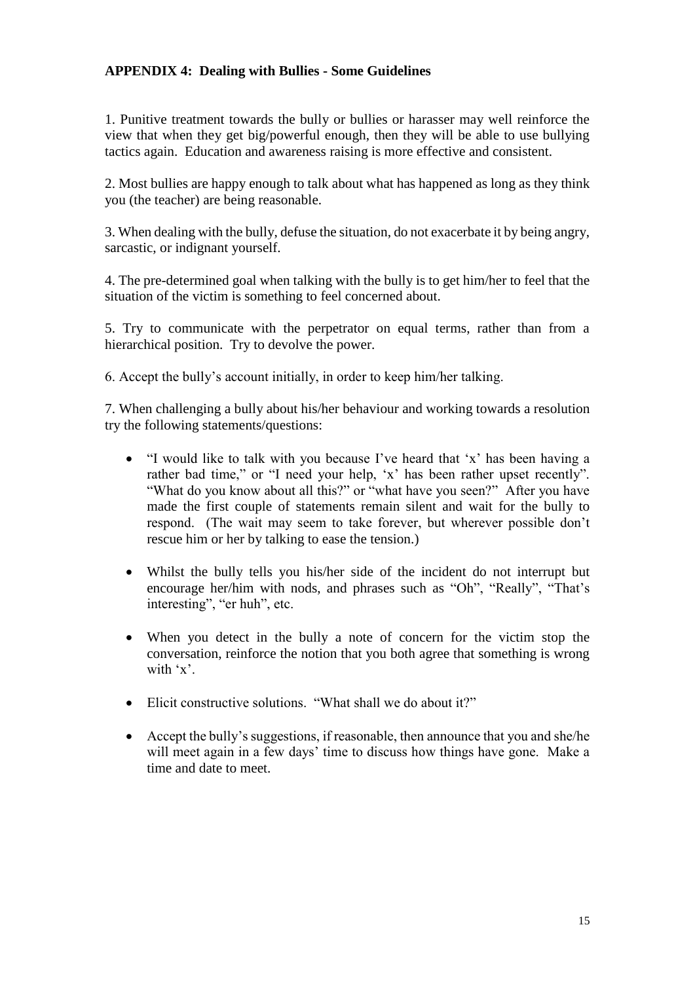## **APPENDIX 4: Dealing with Bullies - Some Guidelines**

1. Punitive treatment towards the bully or bullies or harasser may well reinforce the view that when they get big/powerful enough, then they will be able to use bullying tactics again. Education and awareness raising is more effective and consistent.

2. Most bullies are happy enough to talk about what has happened as long as they think you (the teacher) are being reasonable.

3. When dealing with the bully, defuse the situation, do not exacerbate it by being angry, sarcastic, or indignant yourself.

4. The pre-determined goal when talking with the bully is to get him/her to feel that the situation of the victim is something to feel concerned about.

5. Try to communicate with the perpetrator on equal terms, rather than from a hierarchical position. Try to devolve the power.

6. Accept the bully's account initially, in order to keep him/her talking.

7. When challenging a bully about his/her behaviour and working towards a resolution try the following statements/questions:

- "I would like to talk with you because I've heard that 'x' has been having a rather bad time," or "I need your help, 'x' has been rather upset recently". "What do you know about all this?" or "what have you seen?" After you have made the first couple of statements remain silent and wait for the bully to respond. (The wait may seem to take forever, but wherever possible don't rescue him or her by talking to ease the tension.)
- Whilst the bully tells you his/her side of the incident do not interrupt but encourage her/him with nods, and phrases such as "Oh", "Really", "That's interesting", "er huh", etc.
- When you detect in the bully a note of concern for the victim stop the conversation, reinforce the notion that you both agree that something is wrong with 'x'.
- Elicit constructive solutions. "What shall we do about it?"
- Accept the bully's suggestions, if reasonable, then announce that you and she/he will meet again in a few days' time to discuss how things have gone. Make a time and date to meet.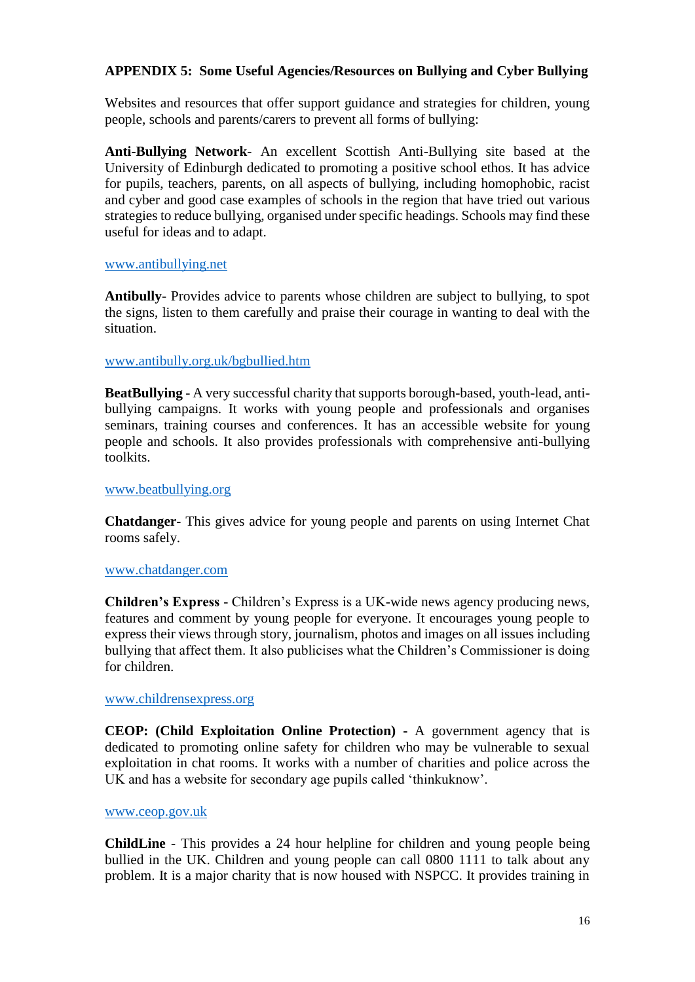## **APPENDIX 5: Some Useful Agencies/Resources on Bullying and Cyber Bullying**

Websites and resources that offer support guidance and strategies for children, young people, schools and parents/carers to prevent all forms of bullying:

**Anti-Bullying Network**- An excellent Scottish Anti-Bullying site based at the University of Edinburgh dedicated to promoting a positive school ethos. It has advice for pupils, teachers, parents, on all aspects of bullying, including homophobic, racist and cyber and good case examples of schools in the region that have tried out various strategies to reduce bullying, organised under specific headings. Schools may find these useful for ideas and to adapt.

#### [www.antibullying.net](http://www.antibullying.net/)

**Antibully**- Provides advice to parents whose children are subject to bullying, to spot the signs, listen to them carefully and praise their courage in wanting to deal with the situation.

#### [www.antibully.org.uk/bgbullied.htm](http://www.antibully.org.uk/bgbullied.htm)

**BeatBullying** - A very successful charity that supports borough-based, youth-lead, antibullying campaigns. It works with young people and professionals and organises seminars, training courses and conferences. It has an accessible website for young people and schools. It also provides professionals with comprehensive anti-bullying toolkits.

#### [www.beatbullying.org](http://www.beatbullying.org/)

**Chatdanger-** This gives advice for young people and parents on using Internet Chat rooms safely.

#### [www.chatdanger.com](http://www.chatdanger.com/)

**Children's Express** - Children's Express is a UK-wide news agency producing news, features and comment by young people for everyone. It encourages young people to express their views through story, journalism, photos and images on all issues including bullying that affect them. It also publicises what the Children's Commissioner is doing for children.

#### [www.childrensexpress.org](http://www.childrensexpress.org/)

**CEOP: (Child Exploitation Online Protection) -** A government agency that is dedicated to promoting online safety for children who may be vulnerable to sexual exploitation in chat rooms. It works with a number of charities and police across the UK and has a website for secondary age pupils called 'thinkuknow'.

#### [www.ceop.gov.uk](http://www.ceop.gov.uk/)

**ChildLine** - This provides a 24 hour helpline for children and young people being bullied in the UK. Children and young people can call 0800 1111 to talk about any problem. It is a major charity that is now housed with NSPCC. It provides training in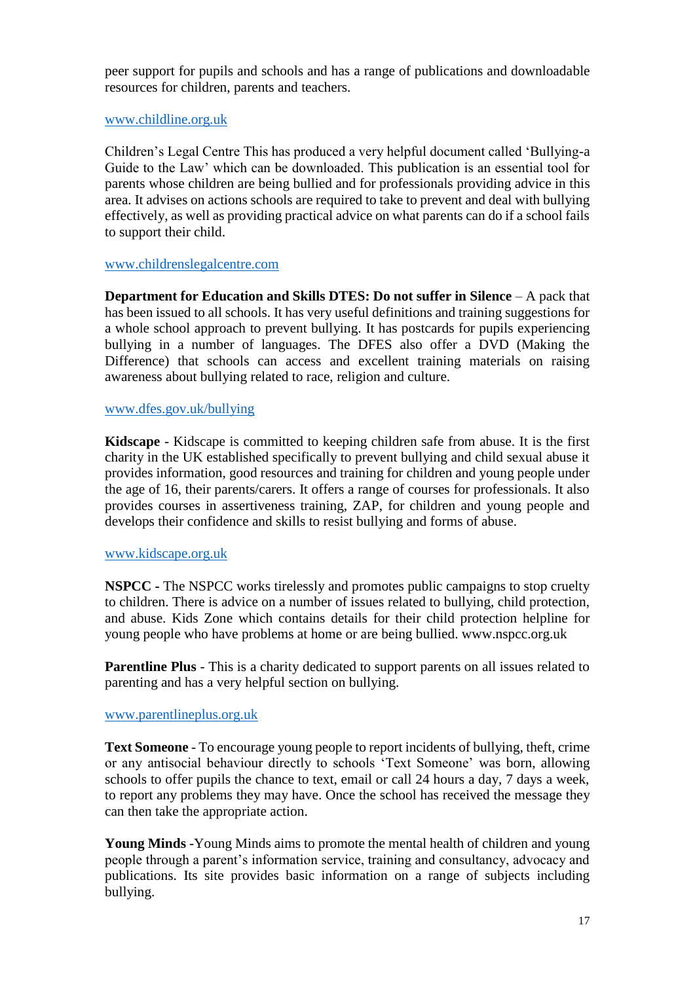peer support for pupils and schools and has a range of publications and downloadable resources for children, parents and teachers.

#### [www.childline.org.uk](http://www.childline.org.uk/)

Children's Legal Centre This has produced a very helpful document called 'Bullying-a Guide to the Law' which can be downloaded. This publication is an essential tool for parents whose children are being bullied and for professionals providing advice in this area. It advises on actions schools are required to take to prevent and deal with bullying effectively, as well as providing practical advice on what parents can do if a school fails to support their child.

#### [www.childrenslegalcentre.com](http://www.childrenslegalcentre.com/)

**Department for Education and Skills DTES: Do not suffer in Silence** – A pack that has been issued to all schools. It has very useful definitions and training suggestions for a whole school approach to prevent bullying. It has postcards for pupils experiencing bullying in a number of languages. The DFES also offer a DVD (Making the Difference) that schools can access and excellent training materials on raising awareness about bullying related to race, religion and culture.

#### [www.dfes.gov.uk/bullying](http://www.dfes.gov.uk/bullying)

**Kidscape** - Kidscape is committed to keeping children safe from abuse. It is the first charity in the UK established specifically to prevent bullying and child sexual abuse it provides information, good resources and training for children and young people under the age of 16, their parents/carers. It offers a range of courses for professionals. It also provides courses in assertiveness training, ZAP, for children and young people and develops their confidence and skills to resist bullying and forms of abuse.

#### [www.kidscape.org.uk](http://www.kidscape.org.uk/)

**NSPCC -** The NSPCC works tirelessly and promotes public campaigns to stop cruelty to children. There is advice on a number of issues related to bullying, child protection, and abuse. Kids Zone which contains details for their child protection helpline for young people who have problems at home or are being bullied. www.nspcc.org.uk

**Parentline Plus** - This is a charity dedicated to support parents on all issues related to parenting and has a very helpful section on bullying.

#### [www.parentlineplus.org.uk](http://www.parentlineplus.org.uk/)

**Text Someone** - To encourage young people to report incidents of bullying, theft, crime or any antisocial behaviour directly to schools 'Text Someone' was born, allowing schools to offer pupils the chance to text, email or call 24 hours a day, 7 days a week, to report any problems they may have. Once the school has received the message they can then take the appropriate action.

**Young Minds** -Young Minds aims to promote the mental health of children and young people through a parent's information service, training and consultancy, advocacy and publications. Its site provides basic information on a range of subjects including bullying.